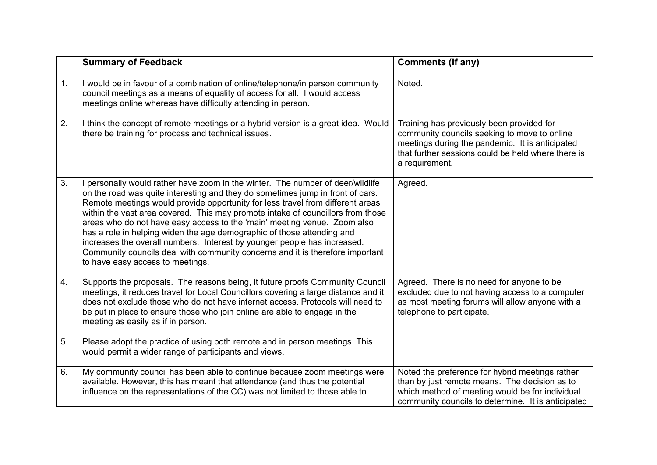|    | <b>Summary of Feedback</b>                                                                                                                                                                                                                                                                                                                                                                                                                                                                                                                                                                                                                                                                   | <b>Comments (if any)</b>                                                                                                                                                                                             |
|----|----------------------------------------------------------------------------------------------------------------------------------------------------------------------------------------------------------------------------------------------------------------------------------------------------------------------------------------------------------------------------------------------------------------------------------------------------------------------------------------------------------------------------------------------------------------------------------------------------------------------------------------------------------------------------------------------|----------------------------------------------------------------------------------------------------------------------------------------------------------------------------------------------------------------------|
| 1. | I would be in favour of a combination of online/telephone/in person community<br>council meetings as a means of equality of access for all. I would access<br>meetings online whereas have difficulty attending in person.                                                                                                                                                                                                                                                                                                                                                                                                                                                                   | Noted.                                                                                                                                                                                                               |
| 2. | I think the concept of remote meetings or a hybrid version is a great idea. Would<br>there be training for process and technical issues.                                                                                                                                                                                                                                                                                                                                                                                                                                                                                                                                                     | Training has previously been provided for<br>community councils seeking to move to online<br>meetings during the pandemic. It is anticipated<br>that further sessions could be held where there is<br>a requirement. |
| 3. | I personally would rather have zoom in the winter. The number of deer/wildlife<br>on the road was quite interesting and they do sometimes jump in front of cars.<br>Remote meetings would provide opportunity for less travel from different areas<br>within the vast area covered. This may promote intake of councillors from those<br>areas who do not have easy access to the 'main' meeting venue. Zoom also<br>has a role in helping widen the age demographic of those attending and<br>increases the overall numbers. Interest by younger people has increased.<br>Community councils deal with community concerns and it is therefore important<br>to have easy access to meetings. | Agreed.                                                                                                                                                                                                              |
| 4. | Supports the proposals. The reasons being, it future proofs Community Council<br>meetings, it reduces travel for Local Councillors covering a large distance and it<br>does not exclude those who do not have internet access. Protocols will need to<br>be put in place to ensure those who join online are able to engage in the<br>meeting as easily as if in person.                                                                                                                                                                                                                                                                                                                     | Agreed. There is no need for anyone to be<br>excluded due to not having access to a computer<br>as most meeting forums will allow anyone with a<br>telephone to participate.                                         |
| 5. | Please adopt the practice of using both remote and in person meetings. This<br>would permit a wider range of participants and views.                                                                                                                                                                                                                                                                                                                                                                                                                                                                                                                                                         |                                                                                                                                                                                                                      |
| 6. | My community council has been able to continue because zoom meetings were<br>available. However, this has meant that attendance (and thus the potential<br>influence on the representations of the CC) was not limited to those able to                                                                                                                                                                                                                                                                                                                                                                                                                                                      | Noted the preference for hybrid meetings rather<br>than by just remote means. The decision as to<br>which method of meeting would be for individual<br>community councils to determine. It is anticipated            |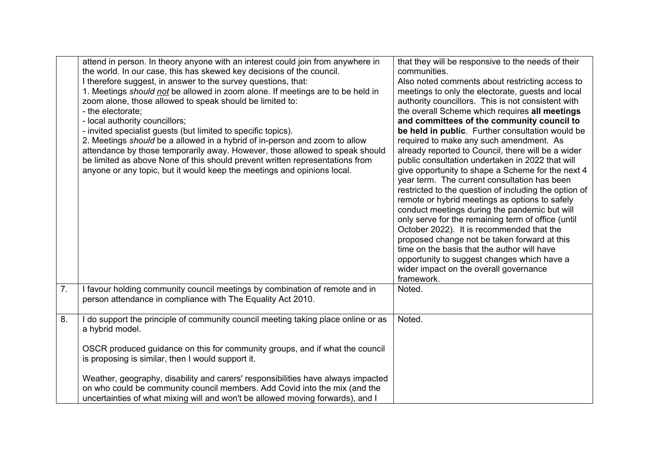|    | attend in person. In theory anyone with an interest could join from anywhere in<br>the world. In our case, this has skewed key decisions of the council.<br>I therefore suggest, in answer to the survey questions, that:<br>1. Meetings should not be allowed in zoom alone. If meetings are to be held in<br>zoom alone, those allowed to speak should be limited to:<br>- the electorate;<br>- local authority councillors;<br>- invited specialist guests (but limited to specific topics).<br>2. Meetings should be a allowed in a hybrid of in-person and zoom to allow<br>attendance by those temporarily away. However, those allowed to speak should<br>be limited as above None of this should prevent written representations from<br>anyone or any topic, but it would keep the meetings and opinions local. | that they will be responsive to the needs of their<br>communities.<br>Also noted comments about restricting access to<br>meetings to only the electorate, guests and local<br>authority councillors. This is not consistent with<br>the overall Scheme which requires all meetings<br>and committees of the community council to<br>be held in public. Further consultation would be<br>required to make any such amendment. As<br>already reported to Council, there will be a wider<br>public consultation undertaken in 2022 that will<br>give opportunity to shape a Scheme for the next 4<br>year term. The current consultation has been<br>restricted to the question of including the option of<br>remote or hybrid meetings as options to safely<br>conduct meetings during the pandemic but will<br>only serve for the remaining term of office (until<br>October 2022). It is recommended that the<br>proposed change not be taken forward at this<br>time on the basis that the author will have<br>opportunity to suggest changes which have a<br>wider impact on the overall governance<br>framework. |
|----|--------------------------------------------------------------------------------------------------------------------------------------------------------------------------------------------------------------------------------------------------------------------------------------------------------------------------------------------------------------------------------------------------------------------------------------------------------------------------------------------------------------------------------------------------------------------------------------------------------------------------------------------------------------------------------------------------------------------------------------------------------------------------------------------------------------------------|---------------------------------------------------------------------------------------------------------------------------------------------------------------------------------------------------------------------------------------------------------------------------------------------------------------------------------------------------------------------------------------------------------------------------------------------------------------------------------------------------------------------------------------------------------------------------------------------------------------------------------------------------------------------------------------------------------------------------------------------------------------------------------------------------------------------------------------------------------------------------------------------------------------------------------------------------------------------------------------------------------------------------------------------------------------------------------------------------------------------|
| 7. | I favour holding community council meetings by combination of remote and in<br>person attendance in compliance with The Equality Act 2010.                                                                                                                                                                                                                                                                                                                                                                                                                                                                                                                                                                                                                                                                               | Noted.                                                                                                                                                                                                                                                                                                                                                                                                                                                                                                                                                                                                                                                                                                                                                                                                                                                                                                                                                                                                                                                                                                              |
| 8. | I do support the principle of community council meeting taking place online or as<br>a hybrid model.<br>OSCR produced guidance on this for community groups, and if what the council<br>is proposing is similar, then I would support it.<br>Weather, geography, disability and carers' responsibilities have always impacted<br>on who could be community council members. Add Covid into the mix (and the<br>uncertainties of what mixing will and won't be allowed moving forwards), and I                                                                                                                                                                                                                                                                                                                            | Noted.                                                                                                                                                                                                                                                                                                                                                                                                                                                                                                                                                                                                                                                                                                                                                                                                                                                                                                                                                                                                                                                                                                              |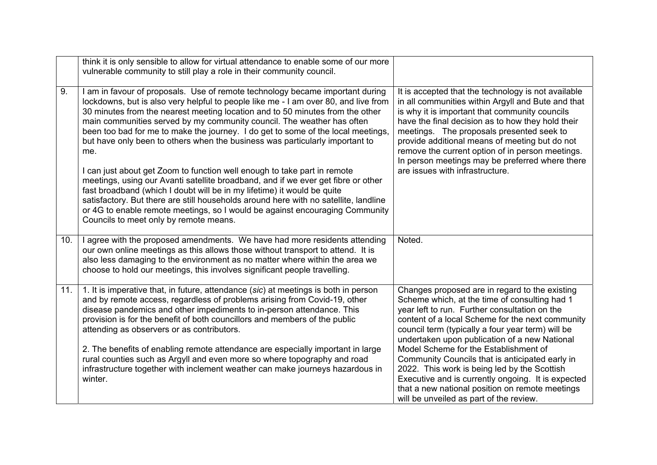|     | think it is only sensible to allow for virtual attendance to enable some of our more<br>vulnerable community to still play a role in their community council.                                                                                                                                                                                                                                                                                                                                                                                                                          |                                                                                                                                                                                                                                                                                                                                                                                                                                                           |
|-----|----------------------------------------------------------------------------------------------------------------------------------------------------------------------------------------------------------------------------------------------------------------------------------------------------------------------------------------------------------------------------------------------------------------------------------------------------------------------------------------------------------------------------------------------------------------------------------------|-----------------------------------------------------------------------------------------------------------------------------------------------------------------------------------------------------------------------------------------------------------------------------------------------------------------------------------------------------------------------------------------------------------------------------------------------------------|
| 9.  | I am in favour of proposals. Use of remote technology became important during<br>lockdowns, but is also very helpful to people like me - I am over 80, and live from<br>30 minutes from the nearest meeting location and to 50 minutes from the other<br>main communities served by my community council. The weather has often<br>been too bad for me to make the journey. I do get to some of the local meetings,<br>but have only been to others when the business was particularly important to<br>me.<br>I can just about get Zoom to function well enough to take part in remote | It is accepted that the technology is not available<br>in all communities within Argyll and Bute and that<br>is why it is important that community councils<br>have the final decision as to how they hold their<br>meetings. The proposals presented seek to<br>provide additional means of meeting but do not<br>remove the current option of in person meetings.<br>In person meetings may be preferred where there<br>are issues with infrastructure. |
|     | meetings, using our Avanti satellite broadband, and if we ever get fibre or other<br>fast broadband (which I doubt will be in my lifetime) it would be quite<br>satisfactory. But there are still households around here with no satellite, landline<br>or 4G to enable remote meetings, so I would be against encouraging Community<br>Councils to meet only by remote means.                                                                                                                                                                                                         |                                                                                                                                                                                                                                                                                                                                                                                                                                                           |
| 10. | I agree with the proposed amendments. We have had more residents attending<br>our own online meetings as this allows those without transport to attend. It is<br>also less damaging to the environment as no matter where within the area we<br>choose to hold our meetings, this involves significant people travelling.                                                                                                                                                                                                                                                              | Noted.                                                                                                                                                                                                                                                                                                                                                                                                                                                    |
| 11. | 1. It is imperative that, in future, attendance (sic) at meetings is both in person<br>and by remote access, regardless of problems arising from Covid-19, other<br>disease pandemics and other impediments to in-person attendance. This<br>provision is for the benefit of both councillors and members of the public<br>attending as observers or as contributors.                                                                                                                                                                                                                  | Changes proposed are in regard to the existing<br>Scheme which, at the time of consulting had 1<br>year left to run. Further consultation on the<br>content of a local Scheme for the next community<br>council term (typically a four year term) will be<br>undertaken upon publication of a new National                                                                                                                                                |
|     | 2. The benefits of enabling remote attendance are especially important in large<br>rural counties such as Argyll and even more so where topography and road<br>infrastructure together with inclement weather can make journeys hazardous in<br>winter.                                                                                                                                                                                                                                                                                                                                | Model Scheme for the Establishment of<br>Community Councils that is anticipated early in<br>2022. This work is being led by the Scottish<br>Executive and is currently ongoing. It is expected<br>that a new national position on remote meetings<br>will be unveiled as part of the review.                                                                                                                                                              |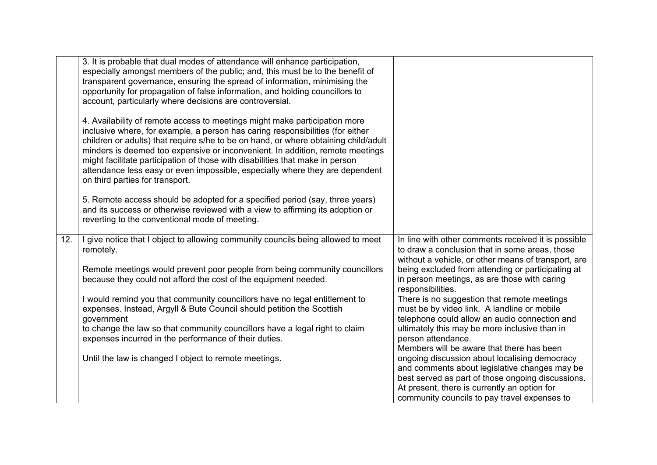| In line with other comments received it is possible<br>to draw a conclusion that in some areas, those<br>without a vehicle, or other means of transport, are |
|--------------------------------------------------------------------------------------------------------------------------------------------------------------|
| being excluded from attending or participating at<br>in person meetings, as are those with caring                                                            |
| There is no suggestion that remote meetings                                                                                                                  |
| must be by video link. A landline or mobile<br>telephone could allow an audio connection and                                                                 |
| ultimately this may be more inclusive than in                                                                                                                |
|                                                                                                                                                              |
| Members will be aware that there has been<br>ongoing discussion about localising democracy                                                                   |
| and comments about legislative changes may be                                                                                                                |
| best served as part of those ongoing discussions.                                                                                                            |
| At present, there is currently an option for<br>community councils to pay travel expenses to                                                                 |
|                                                                                                                                                              |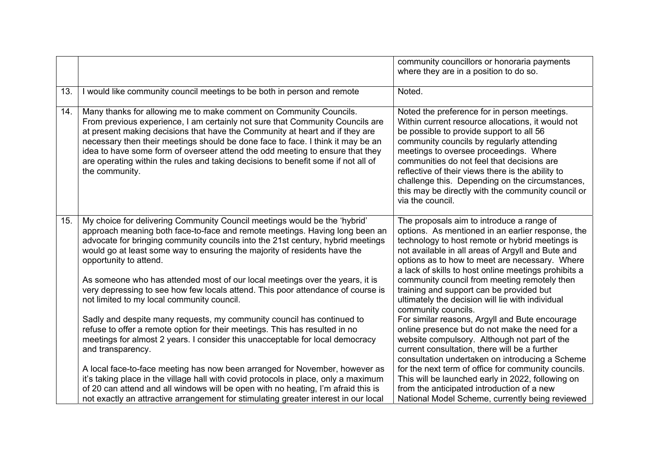|     |                                                                                                                                                                                                                                                                                                                                                                                                                                                                                                                | community councillors or honoraria payments<br>where they are in a position to do so.                                                                                                                                                                                                                                                                                                                                                                                |
|-----|----------------------------------------------------------------------------------------------------------------------------------------------------------------------------------------------------------------------------------------------------------------------------------------------------------------------------------------------------------------------------------------------------------------------------------------------------------------------------------------------------------------|----------------------------------------------------------------------------------------------------------------------------------------------------------------------------------------------------------------------------------------------------------------------------------------------------------------------------------------------------------------------------------------------------------------------------------------------------------------------|
| 13. | I would like community council meetings to be both in person and remote                                                                                                                                                                                                                                                                                                                                                                                                                                        | Noted.                                                                                                                                                                                                                                                                                                                                                                                                                                                               |
| 14. | Many thanks for allowing me to make comment on Community Councils.<br>From previous experience, I am certainly not sure that Community Councils are<br>at present making decisions that have the Community at heart and if they are<br>necessary then their meetings should be done face to face. I think it may be an<br>idea to have some form of overseer attend the odd meeting to ensure that they<br>are operating within the rules and taking decisions to benefit some if not all of<br>the community. | Noted the preference for in person meetings.<br>Within current resource allocations, it would not<br>be possible to provide support to all 56<br>community councils by regularly attending<br>meetings to oversee proceedings. Where<br>communities do not feel that decisions are<br>reflective of their views there is the ability to<br>challenge this. Depending on the circumstances,<br>this may be directly with the community council or<br>via the council. |
| 15. | My choice for delivering Community Council meetings would be the 'hybrid'<br>approach meaning both face-to-face and remote meetings. Having long been an<br>advocate for bringing community councils into the 21st century, hybrid meetings<br>would go at least some way to ensuring the majority of residents have the<br>opportunity to attend.                                                                                                                                                             | The proposals aim to introduce a range of<br>options. As mentioned in an earlier response, the<br>technology to host remote or hybrid meetings is<br>not available in all areas of Argyll and Bute and<br>options as to how to meet are necessary. Where<br>a lack of skills to host online meetings prohibits a                                                                                                                                                     |
|     | As someone who has attended most of our local meetings over the years, it is<br>very depressing to see how few locals attend. This poor attendance of course is<br>not limited to my local community council.                                                                                                                                                                                                                                                                                                  | community council from meeting remotely then<br>training and support can be provided but<br>ultimately the decision will lie with individual<br>community councils.                                                                                                                                                                                                                                                                                                  |
|     | Sadly and despite many requests, my community council has continued to<br>refuse to offer a remote option for their meetings. This has resulted in no<br>meetings for almost 2 years. I consider this unacceptable for local democracy<br>and transparency.                                                                                                                                                                                                                                                    | For similar reasons, Argyll and Bute encourage<br>online presence but do not make the need for a<br>website compulsory. Although not part of the<br>current consultation, there will be a further<br>consultation undertaken on introducing a Scheme                                                                                                                                                                                                                 |
|     | A local face-to-face meeting has now been arranged for November, however as<br>it's taking place in the village hall with covid protocols in place, only a maximum<br>of 20 can attend and all windows will be open with no heating, I'm afraid this is<br>not exactly an attractive arrangement for stimulating greater interest in our local                                                                                                                                                                 | for the next term of office for community councils.<br>This will be launched early in 2022, following on<br>from the anticipated introduction of a new<br>National Model Scheme, currently being reviewed                                                                                                                                                                                                                                                            |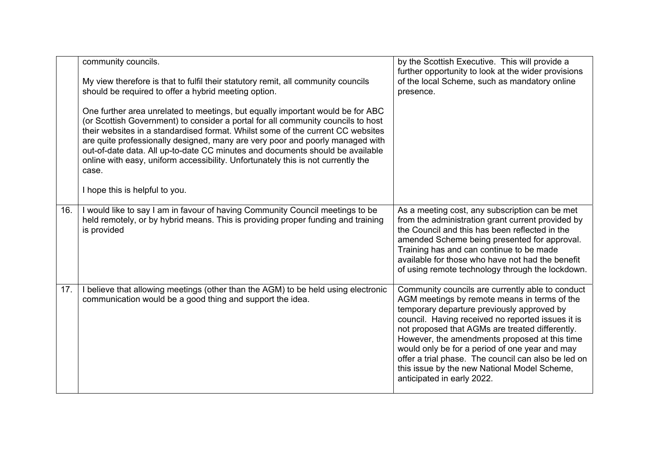|     | community councils.<br>My view therefore is that to fulfil their statutory remit, all community councils<br>should be required to offer a hybrid meeting option.<br>One further area unrelated to meetings, but equally important would be for ABC<br>(or Scottish Government) to consider a portal for all community councils to host<br>their websites in a standardised format. Whilst some of the current CC websites<br>are quite professionally designed, many are very poor and poorly managed with<br>out-of-date data. All up-to-date CC minutes and documents should be available<br>online with easy, uniform accessibility. Unfortunately this is not currently the<br>case.<br>I hope this is helpful to you. | by the Scottish Executive. This will provide a<br>further opportunity to look at the wider provisions<br>of the local Scheme, such as mandatory online<br>presence.                                                                                                                                                                                                                                                                                                                            |
|-----|----------------------------------------------------------------------------------------------------------------------------------------------------------------------------------------------------------------------------------------------------------------------------------------------------------------------------------------------------------------------------------------------------------------------------------------------------------------------------------------------------------------------------------------------------------------------------------------------------------------------------------------------------------------------------------------------------------------------------|------------------------------------------------------------------------------------------------------------------------------------------------------------------------------------------------------------------------------------------------------------------------------------------------------------------------------------------------------------------------------------------------------------------------------------------------------------------------------------------------|
| 16. | I would like to say I am in favour of having Community Council meetings to be<br>held remotely, or by hybrid means. This is providing proper funding and training<br>is provided                                                                                                                                                                                                                                                                                                                                                                                                                                                                                                                                           | As a meeting cost, any subscription can be met<br>from the administration grant current provided by<br>the Council and this has been reflected in the<br>amended Scheme being presented for approval.<br>Training has and can continue to be made<br>available for those who have not had the benefit<br>of using remote technology through the lockdown.                                                                                                                                      |
| 17. | I believe that allowing meetings (other than the AGM) to be held using electronic<br>communication would be a good thing and support the idea.                                                                                                                                                                                                                                                                                                                                                                                                                                                                                                                                                                             | Community councils are currently able to conduct<br>AGM meetings by remote means in terms of the<br>temporary departure previously approved by<br>council. Having received no reported issues it is<br>not proposed that AGMs are treated differently.<br>However, the amendments proposed at this time<br>would only be for a period of one year and may<br>offer a trial phase. The council can also be led on<br>this issue by the new National Model Scheme,<br>anticipated in early 2022. |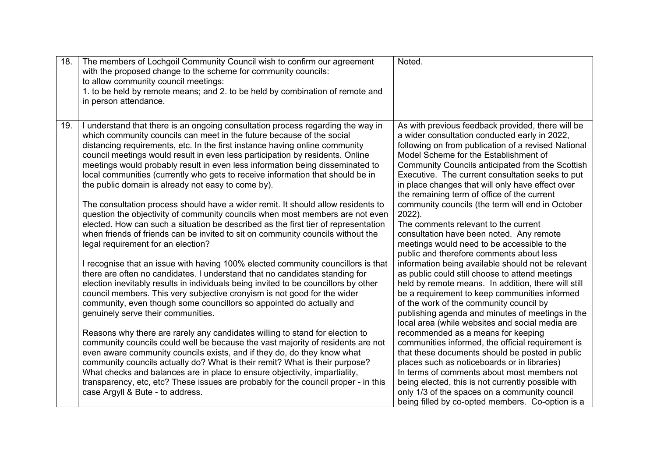| 18. | The members of Lochgoil Community Council wish to confirm our agreement<br>with the proposed change to the scheme for community councils:<br>to allow community council meetings:<br>1. to be held by remote means; and 2. to be held by combination of remote and<br>in person attendance.                                                                                                                                                                                                                                                                                                                                                                                                                            | Noted.                                                                                                                                                                                                                                                                                                                                                                                                                                                                      |
|-----|------------------------------------------------------------------------------------------------------------------------------------------------------------------------------------------------------------------------------------------------------------------------------------------------------------------------------------------------------------------------------------------------------------------------------------------------------------------------------------------------------------------------------------------------------------------------------------------------------------------------------------------------------------------------------------------------------------------------|-----------------------------------------------------------------------------------------------------------------------------------------------------------------------------------------------------------------------------------------------------------------------------------------------------------------------------------------------------------------------------------------------------------------------------------------------------------------------------|
| 19. | I understand that there is an ongoing consultation process regarding the way in<br>which community councils can meet in the future because of the social<br>distancing requirements, etc. In the first instance having online community<br>council meetings would result in even less participation by residents. Online<br>meetings would probably result in even less information being disseminated to<br>local communities (currently who gets to receive information that should be in<br>the public domain is already not easy to come by).<br>The consultation process should have a wider remit. It should allow residents to<br>question the objectivity of community councils when most members are not even | As with previous feedback provided, there will be<br>a wider consultation conducted early in 2022,<br>following on from publication of a revised National<br>Model Scheme for the Establishment of<br>Community Councils anticipated from the Scottish<br>Executive. The current consultation seeks to put<br>in place changes that will only have effect over<br>the remaining term of office of the current<br>community councils (the term will end in October<br>2022). |
|     | elected. How can such a situation be described as the first tier of representation<br>when friends of friends can be invited to sit on community councils without the<br>legal requirement for an election?                                                                                                                                                                                                                                                                                                                                                                                                                                                                                                            | The comments relevant to the current<br>consultation have been noted. Any remote<br>meetings would need to be accessible to the<br>public and therefore comments about less                                                                                                                                                                                                                                                                                                 |
|     | I recognise that an issue with having 100% elected community councillors is that<br>there are often no candidates. I understand that no candidates standing for<br>election inevitably results in individuals being invited to be councillors by other<br>council members. This very subjective cronyism is not good for the wider<br>community, even though some councillors so appointed do actually and<br>genuinely serve their communities.                                                                                                                                                                                                                                                                       | information being available should not be relevant<br>as public could still choose to attend meetings<br>held by remote means. In addition, there will still<br>be a requirement to keep communities informed<br>of the work of the community council by<br>publishing agenda and minutes of meetings in the<br>local area (while websites and social media are                                                                                                             |
|     | Reasons why there are rarely any candidates willing to stand for election to<br>community councils could well be because the vast majority of residents are not<br>even aware community councils exists, and if they do, do they know what<br>community councils actually do? What is their remit? What is their purpose?<br>What checks and balances are in place to ensure objectivity, impartiality,<br>transparency, etc, etc? These issues are probably for the council proper - in this<br>case Argyll & Bute - to address.                                                                                                                                                                                      | recommended as a means for keeping<br>communities informed, the official requirement is<br>that these documents should be posted in public<br>places such as noticeboards or in libraries)<br>In terms of comments about most members not<br>being elected, this is not currently possible with<br>only 1/3 of the spaces on a community council<br>being filled by co-opted members. Co-option is a                                                                        |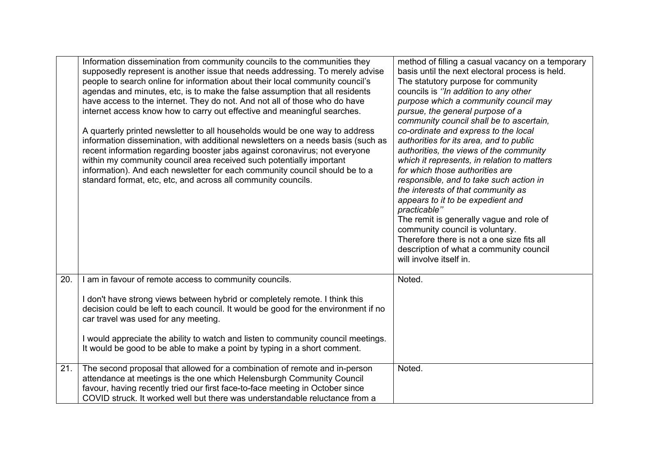|     | Information dissemination from community councils to the communities they<br>supposedly represent is another issue that needs addressing. To merely advise<br>people to search online for information about their local community council's<br>agendas and minutes, etc, is to make the false assumption that all residents<br>have access to the internet. They do not. And not all of those who do have<br>internet access know how to carry out effective and meaningful searches.<br>A quarterly printed newsletter to all households would be one way to address<br>information dissemination, with additional newsletters on a needs basis (such as<br>recent information regarding booster jabs against coronavirus; not everyone<br>within my community council area received such potentially important<br>information). And each newsletter for each community council should be to a<br>standard format, etc, etc, and across all community councils. | method of filling a casual vacancy on a temporary<br>basis until the next electoral process is held.<br>The statutory purpose for community<br>councils is "In addition to any other<br>purpose which a community council may<br>pursue, the general purpose of a<br>community council shall be to ascertain,<br>co-ordinate and express to the local<br>authorities for its area, and to public<br>authorities, the views of the community<br>which it represents, in relation to matters<br>for which those authorities are<br>responsible, and to take such action in<br>the interests of that community as<br>appears to it to be expedient and<br>practicable"<br>The remit is generally vague and role of<br>community council is voluntary.<br>Therefore there is not a one size fits all<br>description of what a community council<br>will involve itself in. |
|-----|------------------------------------------------------------------------------------------------------------------------------------------------------------------------------------------------------------------------------------------------------------------------------------------------------------------------------------------------------------------------------------------------------------------------------------------------------------------------------------------------------------------------------------------------------------------------------------------------------------------------------------------------------------------------------------------------------------------------------------------------------------------------------------------------------------------------------------------------------------------------------------------------------------------------------------------------------------------|------------------------------------------------------------------------------------------------------------------------------------------------------------------------------------------------------------------------------------------------------------------------------------------------------------------------------------------------------------------------------------------------------------------------------------------------------------------------------------------------------------------------------------------------------------------------------------------------------------------------------------------------------------------------------------------------------------------------------------------------------------------------------------------------------------------------------------------------------------------------|
| 20. | I am in favour of remote access to community councils.<br>I don't have strong views between hybrid or completely remote. I think this<br>decision could be left to each council. It would be good for the environment if no<br>car travel was used for any meeting.<br>I would appreciate the ability to watch and listen to community council meetings.<br>It would be good to be able to make a point by typing in a short comment.                                                                                                                                                                                                                                                                                                                                                                                                                                                                                                                            | Noted.                                                                                                                                                                                                                                                                                                                                                                                                                                                                                                                                                                                                                                                                                                                                                                                                                                                                 |
| 21. | The second proposal that allowed for a combination of remote and in-person<br>attendance at meetings is the one which Helensburgh Community Council<br>favour, having recently tried our first face-to-face meeting in October since<br>COVID struck. It worked well but there was understandable reluctance from a                                                                                                                                                                                                                                                                                                                                                                                                                                                                                                                                                                                                                                              | Noted.                                                                                                                                                                                                                                                                                                                                                                                                                                                                                                                                                                                                                                                                                                                                                                                                                                                                 |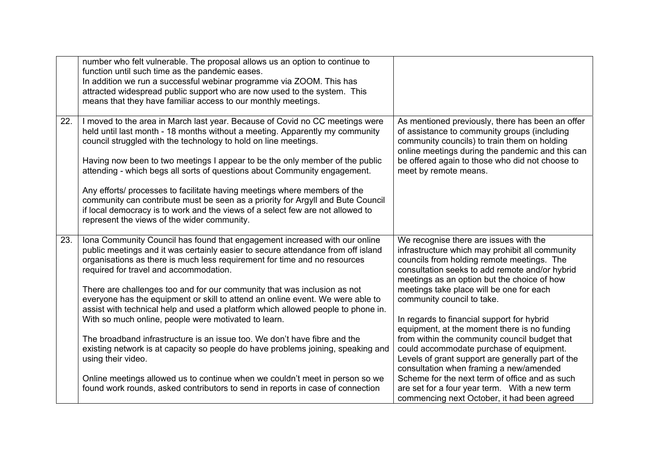|     | number who felt vulnerable. The proposal allows us an option to continue to<br>function until such time as the pandemic eases.<br>In addition we run a successful webinar programme via ZOOM. This has<br>attracted widespread public support who are now used to the system. This<br>means that they have familiar access to our monthly meetings.                                                                                                                                                                                                          |                                                                                                                                                                                                                                                                                  |
|-----|--------------------------------------------------------------------------------------------------------------------------------------------------------------------------------------------------------------------------------------------------------------------------------------------------------------------------------------------------------------------------------------------------------------------------------------------------------------------------------------------------------------------------------------------------------------|----------------------------------------------------------------------------------------------------------------------------------------------------------------------------------------------------------------------------------------------------------------------------------|
| 22. | I moved to the area in March last year. Because of Covid no CC meetings were<br>held until last month - 18 months without a meeting. Apparently my community<br>council struggled with the technology to hold on line meetings.<br>Having now been to two meetings I appear to be the only member of the public<br>attending - which begs all sorts of questions about Community engagement.<br>Any efforts/ processes to facilitate having meetings where members of the<br>community can contribute must be seen as a priority for Argyll and Bute Council | As mentioned previously, there has been an offer<br>of assistance to community groups (including<br>community councils) to train them on holding<br>online meetings during the pandemic and this can<br>be offered again to those who did not choose to<br>meet by remote means. |
|     | if local democracy is to work and the views of a select few are not allowed to<br>represent the views of the wider community.                                                                                                                                                                                                                                                                                                                                                                                                                                |                                                                                                                                                                                                                                                                                  |
| 23. | Iona Community Council has found that engagement increased with our online<br>public meetings and it was certainly easier to secure attendance from off island<br>organisations as there is much less requirement for time and no resources<br>required for travel and accommodation.                                                                                                                                                                                                                                                                        | We recognise there are issues with the<br>infrastructure which may prohibit all community<br>councils from holding remote meetings. The<br>consultation seeks to add remote and/or hybrid<br>meetings as an option but the choice of how                                         |
|     | There are challenges too and for our community that was inclusion as not<br>everyone has the equipment or skill to attend an online event. We were able to<br>assist with technical help and used a platform which allowed people to phone in.                                                                                                                                                                                                                                                                                                               | meetings take place will be one for each<br>community council to take.                                                                                                                                                                                                           |
|     | With so much online, people were motivated to learn.                                                                                                                                                                                                                                                                                                                                                                                                                                                                                                         | In regards to financial support for hybrid<br>equipment, at the moment there is no funding                                                                                                                                                                                       |
|     | The broadband infrastructure is an issue too. We don't have fibre and the<br>existing network is at capacity so people do have problems joining, speaking and<br>using their video.                                                                                                                                                                                                                                                                                                                                                                          | from within the community council budget that<br>could accommodate purchase of equipment.<br>Levels of grant support are generally part of the<br>consultation when framing a new/amended                                                                                        |
|     | Online meetings allowed us to continue when we couldn't meet in person so we<br>found work rounds, asked contributors to send in reports in case of connection                                                                                                                                                                                                                                                                                                                                                                                               | Scheme for the next term of office and as such<br>are set for a four year term. With a new term<br>commencing next October, it had been agreed                                                                                                                                   |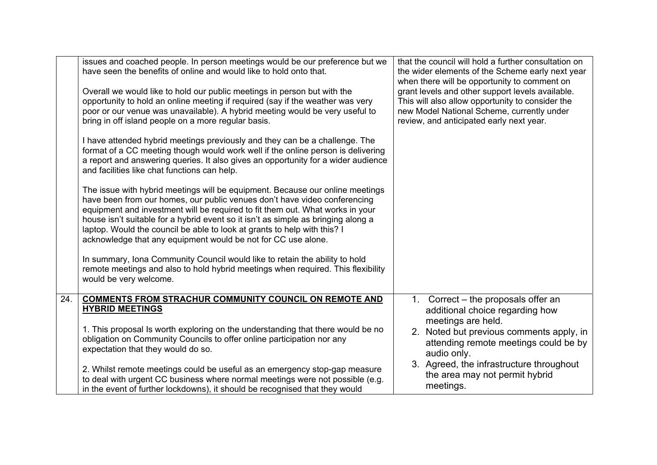|     | issues and coached people. In person meetings would be our preference but we<br>have seen the benefits of online and would like to hold onto that.                                                                                                                                                                                                                                                                                                                            | that the council will hold a further consultation on<br>the wider elements of the Scheme early next year<br>when there will be opportunity to comment on                                       |
|-----|-------------------------------------------------------------------------------------------------------------------------------------------------------------------------------------------------------------------------------------------------------------------------------------------------------------------------------------------------------------------------------------------------------------------------------------------------------------------------------|------------------------------------------------------------------------------------------------------------------------------------------------------------------------------------------------|
|     | Overall we would like to hold our public meetings in person but with the<br>opportunity to hold an online meeting if required (say if the weather was very<br>poor or our venue was unavailable). A hybrid meeting would be very useful to<br>bring in off island people on a more regular basis.                                                                                                                                                                             | grant levels and other support levels available.<br>This will also allow opportunity to consider the<br>new Model National Scheme, currently under<br>review, and anticipated early next year. |
|     | I have attended hybrid meetings previously and they can be a challenge. The<br>format of a CC meeting though would work well if the online person is delivering<br>a report and answering queries. It also gives an opportunity for a wider audience<br>and facilities like chat functions can help.                                                                                                                                                                          |                                                                                                                                                                                                |
|     | The issue with hybrid meetings will be equipment. Because our online meetings<br>have been from our homes, our public venues don't have video conferencing<br>equipment and investment will be required to fit them out. What works in your<br>house isn't suitable for a hybrid event so it isn't as simple as bringing along a<br>laptop. Would the council be able to look at grants to help with this? I<br>acknowledge that any equipment would be not for CC use alone. |                                                                                                                                                                                                |
|     | In summary, Iona Community Council would like to retain the ability to hold<br>remote meetings and also to hold hybrid meetings when required. This flexibility<br>would be very welcome.                                                                                                                                                                                                                                                                                     |                                                                                                                                                                                                |
| 24. | <b>COMMENTS FROM STRACHUR COMMUNITY COUNCIL ON REMOTE AND</b><br><b>HYBRID MEETINGS</b>                                                                                                                                                                                                                                                                                                                                                                                       | 1. Correct – the proposals offer an<br>additional choice regarding how<br>meetings are held.                                                                                                   |
|     | 1. This proposal Is worth exploring on the understanding that there would be no<br>obligation on Community Councils to offer online participation nor any<br>expectation that they would do so.                                                                                                                                                                                                                                                                               | 2. Noted but previous comments apply, in<br>attending remote meetings could be by<br>audio only.                                                                                               |
|     | 2. Whilst remote meetings could be useful as an emergency stop-gap measure<br>to deal with urgent CC business where normal meetings were not possible (e.g.<br>in the event of further lockdowns), it should be recognised that they would                                                                                                                                                                                                                                    | 3. Agreed, the infrastructure throughout<br>the area may not permit hybrid<br>meetings.                                                                                                        |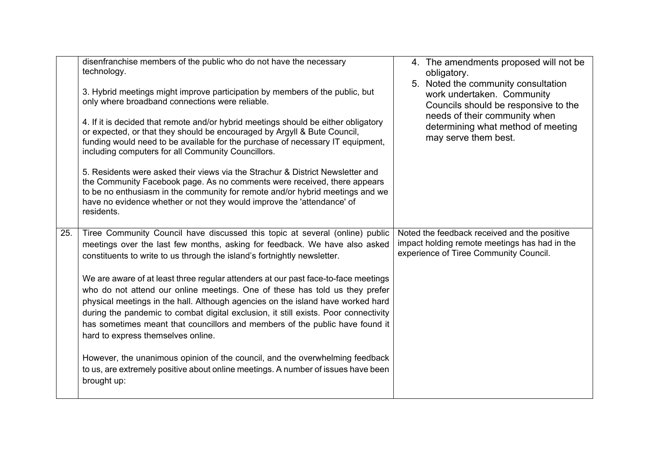|     | disenfranchise members of the public who do not have the necessary<br>technology.<br>3. Hybrid meetings might improve participation by members of the public, but<br>only where broadband connections were reliable.<br>4. If it is decided that remote and/or hybrid meetings should be either obligatory<br>or expected, or that they should be encouraged by Argyll & Bute Council,<br>funding would need to be available for the purchase of necessary IT equipment,<br>including computers for all Community Councillors.<br>5. Residents were asked their views via the Strachur & District Newsletter and<br>the Community Facebook page. As no comments were received, there appears<br>to be no enthusiasm in the community for remote and/or hybrid meetings and we<br>have no evidence whether or not they would improve the 'attendance' of<br>residents.                           | 4. The amendments proposed will not be<br>obligatory.<br>5. Noted the community consultation<br>work undertaken. Community<br>Councils should be responsive to the<br>needs of their community when<br>determining what method of meeting<br>may serve them best. |
|-----|-------------------------------------------------------------------------------------------------------------------------------------------------------------------------------------------------------------------------------------------------------------------------------------------------------------------------------------------------------------------------------------------------------------------------------------------------------------------------------------------------------------------------------------------------------------------------------------------------------------------------------------------------------------------------------------------------------------------------------------------------------------------------------------------------------------------------------------------------------------------------------------------------|-------------------------------------------------------------------------------------------------------------------------------------------------------------------------------------------------------------------------------------------------------------------|
| 25. | Tiree Community Council have discussed this topic at several (online) public<br>meetings over the last few months, asking for feedback. We have also asked<br>constituents to write to us through the island's fortnightly newsletter.<br>We are aware of at least three regular attenders at our past face-to-face meetings<br>who do not attend our online meetings. One of these has told us they prefer<br>physical meetings in the hall. Although agencies on the island have worked hard<br>during the pandemic to combat digital exclusion, it still exists. Poor connectivity<br>has sometimes meant that councillors and members of the public have found it<br>hard to express themselves online.<br>However, the unanimous opinion of the council, and the overwhelming feedback<br>to us, are extremely positive about online meetings. A number of issues have been<br>brought up: | Noted the feedback received and the positive<br>impact holding remote meetings has had in the<br>experience of Tiree Community Council.                                                                                                                           |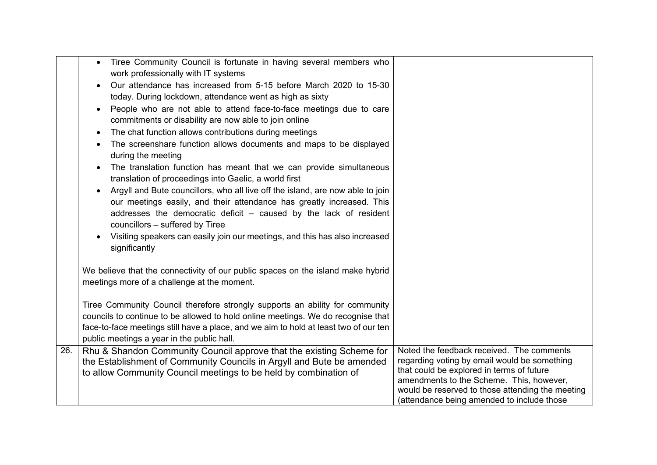|     | Tiree Community Council is fortunate in having several members who<br>$\bullet$                                                |                                                                                       |
|-----|--------------------------------------------------------------------------------------------------------------------------------|---------------------------------------------------------------------------------------|
|     | work professionally with IT systems                                                                                            |                                                                                       |
|     | Our attendance has increased from 5-15 before March 2020 to 15-30                                                              |                                                                                       |
|     | today. During lockdown, attendance went as high as sixty                                                                       |                                                                                       |
|     | People who are not able to attend face-to-face meetings due to care<br>$\bullet$                                               |                                                                                       |
|     | commitments or disability are now able to join online                                                                          |                                                                                       |
|     | The chat function allows contributions during meetings                                                                         |                                                                                       |
|     | The screenshare function allows documents and maps to be displayed<br>during the meeting                                       |                                                                                       |
|     | The translation function has meant that we can provide simultaneous<br>translation of proceedings into Gaelic, a world first   |                                                                                       |
|     | Argyll and Bute councillors, who all live off the island, are now able to join                                                 |                                                                                       |
|     | our meetings easily, and their attendance has greatly increased. This                                                          |                                                                                       |
|     | addresses the democratic deficit - caused by the lack of resident                                                              |                                                                                       |
|     | councillors - suffered by Tiree                                                                                                |                                                                                       |
|     | Visiting speakers can easily join our meetings, and this has also increased<br>significantly                                   |                                                                                       |
|     |                                                                                                                                |                                                                                       |
|     | We believe that the connectivity of our public spaces on the island make hybrid<br>meetings more of a challenge at the moment. |                                                                                       |
|     |                                                                                                                                |                                                                                       |
|     | Tiree Community Council therefore strongly supports an ability for community                                                   |                                                                                       |
|     | councils to continue to be allowed to hold online meetings. We do recognise that                                               |                                                                                       |
|     | face-to-face meetings still have a place, and we aim to hold at least two of our ten                                           |                                                                                       |
|     | public meetings a year in the public hall.                                                                                     |                                                                                       |
| 26. | Rhu & Shandon Community Council approve that the existing Scheme for                                                           | Noted the feedback received. The comments                                             |
|     | the Establishment of Community Councils in Argyll and Bute be amended                                                          | regarding voting by email would be something                                          |
|     | to allow Community Council meetings to be held by combination of                                                               | that could be explored in terms of future<br>amendments to the Scheme. This, however, |
|     |                                                                                                                                | would be reserved to those attending the meeting                                      |
|     |                                                                                                                                | (attendance being amended to include those                                            |